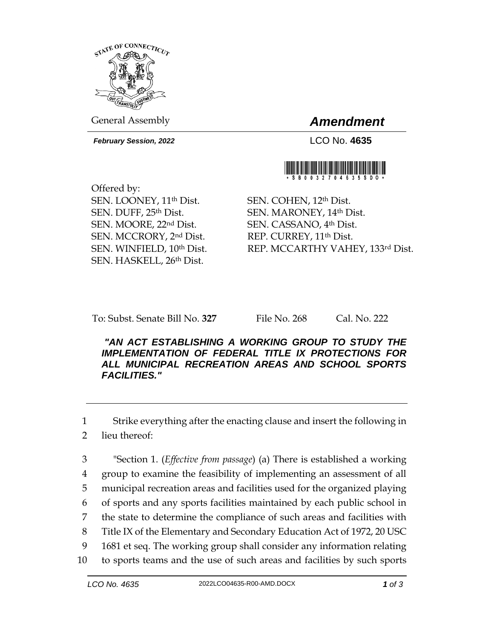

General Assembly *Amendment*

*February Session, 2022* LCO No. **4635**



Offered by: SEN. LOONEY, 11th Dist. SEN. DUFF, 25th Dist. SEN. MOORE, 22nd Dist. SEN. MCCRORY, 2nd Dist. SEN. WINFIELD, 10th Dist. SEN. HASKELL, 26th Dist.

SEN. COHEN, 12th Dist. SEN. MARONEY, 14th Dist. SEN. CASSANO, 4th Dist. REP. CURREY, 11th Dist. REP. MCCARTHY VAHEY, 133rd Dist.

To: Subst. Senate Bill No. **327** File No. 268 Cal. No. 222

*"AN ACT ESTABLISHING A WORKING GROUP TO STUDY THE IMPLEMENTATION OF FEDERAL TITLE IX PROTECTIONS FOR ALL MUNICIPAL RECREATION AREAS AND SCHOOL SPORTS FACILITIES."* 

1 Strike everything after the enacting clause and insert the following in

2 lieu thereof:

 "Section 1. (*Effective from passage*) (a) There is established a working group to examine the feasibility of implementing an assessment of all municipal recreation areas and facilities used for the organized playing of sports and any sports facilities maintained by each public school in the state to determine the compliance of such areas and facilities with Title IX of the Elementary and Secondary Education Act of 1972, 20 USC 1681 et seq. The working group shall consider any information relating to sports teams and the use of such areas and facilities by such sports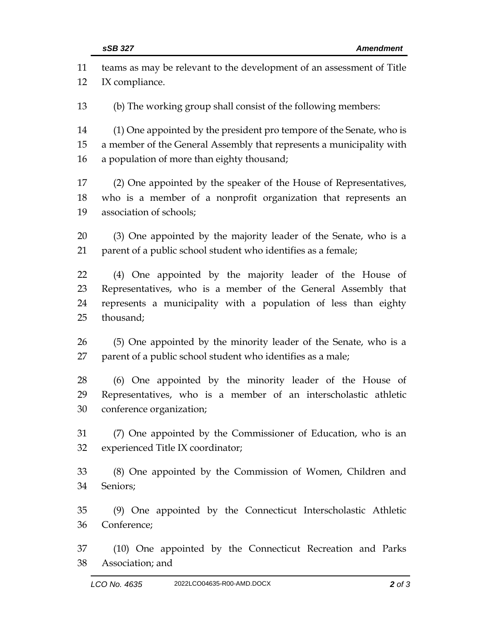| 11 | teams as may be relevant to the development of an assessment of Title |
|----|-----------------------------------------------------------------------|
| 12 | IX compliance.                                                        |
| 13 | (b) The working group shall consist of the following members:         |
| 14 | (1) One appointed by the president pro tempore of the Senate, who is  |
| 15 | a member of the General Assembly that represents a municipality with  |
| 16 | a population of more than eighty thousand;                            |
| 17 | (2) One appointed by the speaker of the House of Representatives,     |
| 18 | who is a member of a nonprofit organization that represents an        |
| 19 | association of schools;                                               |
| 20 | (3) One appointed by the majority leader of the Senate, who is a      |
| 21 | parent of a public school student who identifies as a female;         |
| 22 | (4) One appointed by the majority leader of the House of              |
| 23 | Representatives, who is a member of the General Assembly that         |
| 24 | represents a municipality with a population of less than eighty       |
| 25 | thousand;                                                             |
| 26 | (5) One appointed by the minority leader of the Senate, who is a      |
| 27 | parent of a public school student who identifies as a male;           |
| 28 | (6) One appointed by the minority leader of the House of              |
| 29 | Representatives, who is a member of an interscholastic athletic       |
| 30 | conference organization;                                              |
| 31 | (7) One appointed by the Commissioner of Education, who is an         |
| 32 | experienced Title IX coordinator;                                     |
| 33 | (8) One appointed by the Commission of Women, Children and            |
| 34 | Seniors;                                                              |
| 35 | (9) One appointed by the Connecticut Interscholastic Athletic         |
| 36 | Conference;                                                           |
| 37 | (10) One appointed by the Connecticut Recreation and Parks            |
| 38 | Association; and                                                      |